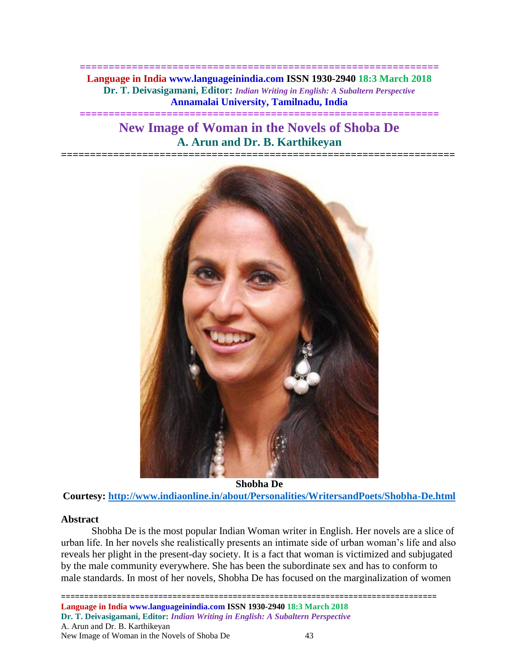**============================================================== Language in India www.languageinindia.com ISSN 1930-2940 18:3 March 2018 Dr. T. Deivasigamani, Editor:** *Indian Writing in English: A Subaltern Perspective* **Annamalai University, Tamilnadu, India**

# **New Image of Woman in the Novels of Shoba De A. Arun and Dr. B. Karthikeyan**

**====================================================================**

**==============================================================**



**Shobha De Courtesy:<http://www.indiaonline.in/about/Personalities/WritersandPoets/Shobha-De.html>**

# **Abstract**

Shobha De is the most popular Indian Woman writer in English. Her novels are a slice of urban life. In her novels she realistically presents an intimate side of urban woman's life and also reveals her plight in the present-day society. It is a fact that woman is victimized and subjugated by the male community everywhere. She has been the subordinate sex and has to conform to male standards. In most of her novels, Shobha De has focused on the marginalization of women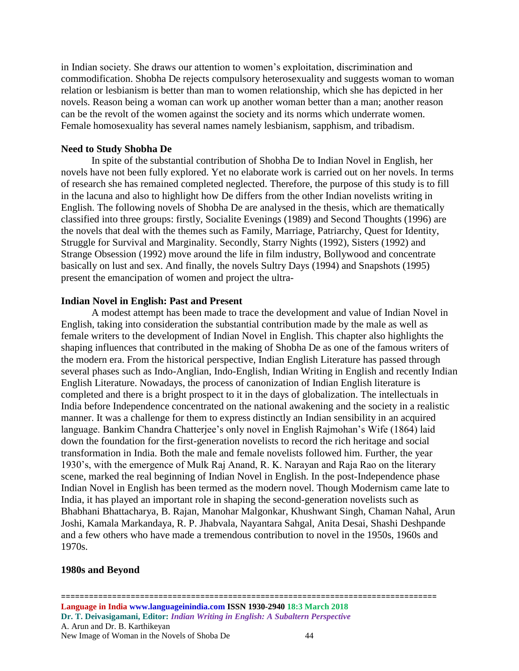in Indian society. She draws our attention to women's exploitation, discrimination and commodification. Shobha De rejects compulsory heterosexuality and suggests woman to woman relation or lesbianism is better than man to women relationship, which she has depicted in her novels. Reason being a woman can work up another woman better than a man; another reason can be the revolt of the women against the society and its norms which underrate women. Female homosexuality has several names namely lesbianism, sapphism, and tribadism.

# **Need to Study Shobha De**

In spite of the substantial contribution of Shobha De to Indian Novel in English, her novels have not been fully explored. Yet no elaborate work is carried out on her novels. In terms of research she has remained completed neglected. Therefore, the purpose of this study is to fill in the lacuna and also to highlight how De differs from the other Indian novelists writing in English. The following novels of Shobha De are analysed in the thesis, which are thematically classified into three groups: firstly, Socialite Evenings (1989) and Second Thoughts (1996) are the novels that deal with the themes such as Family, Marriage, Patriarchy, Quest for Identity, Struggle for Survival and Marginality. Secondly, Starry Nights (1992), Sisters (1992) and Strange Obsession (1992) move around the life in film industry, Bollywood and concentrate basically on lust and sex. And finally, the novels Sultry Days (1994) and Snapshots (1995) present the emancipation of women and project the ultra-

### **Indian Novel in English: Past and Present**

A modest attempt has been made to trace the development and value of Indian Novel in English, taking into consideration the substantial contribution made by the male as well as female writers to the development of Indian Novel in English. This chapter also highlights the shaping influences that contributed in the making of Shobha De as one of the famous writers of the modern era. From the historical perspective, Indian English Literature has passed through several phases such as Indo-Anglian, Indo-English, Indian Writing in English and recently Indian English Literature. Nowadays, the process of canonization of Indian English literature is completed and there is a bright prospect to it in the days of globalization. The intellectuals in India before Independence concentrated on the national awakening and the society in a realistic manner. It was a challenge for them to express distinctly an Indian sensibility in an acquired language. Bankim Chandra Chatterjee's only novel in English Rajmohan's Wife (1864) laid down the foundation for the first-generation novelists to record the rich heritage and social transformation in India. Both the male and female novelists followed him. Further, the year 1930's, with the emergence of Mulk Raj Anand, R. K. Narayan and Raja Rao on the literary scene, marked the real beginning of Indian Novel in English. In the post-Independence phase Indian Novel in English has been termed as the modern novel. Though Modernism came late to India, it has played an important role in shaping the second-generation novelists such as Bhabhani Bhattacharya, B. Rajan, Manohar Malgonkar, Khushwant Singh, Chaman Nahal, Arun Joshi, Kamala Markandaya, R. P. Jhabvala, Nayantara Sahgal, Anita Desai, Shashi Deshpande and a few others who have made a tremendous contribution to novel in the 1950s, 1960s and 1970s.

#### **1980s and Beyond**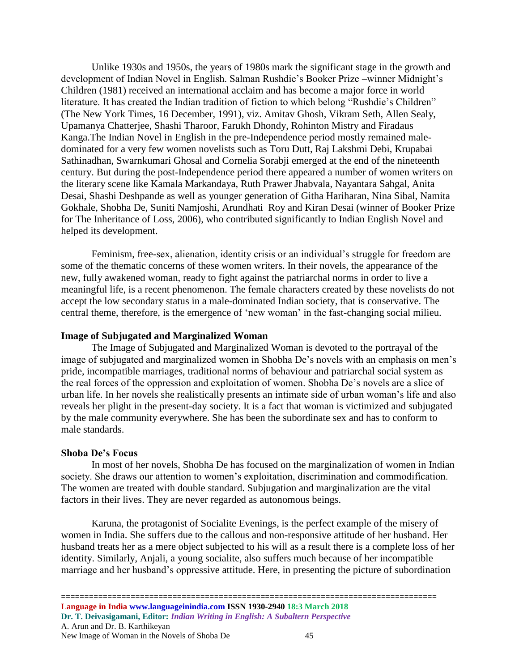Unlike 1930s and 1950s, the years of 1980s mark the significant stage in the growth and development of Indian Novel in English. Salman Rushdie's Booker Prize –winner Midnight's Children (1981) received an international acclaim and has become a major force in world literature. It has created the Indian tradition of fiction to which belong "Rushdie's Children" (The New York Times, 16 December, 1991), viz. Amitav Ghosh, Vikram Seth, Allen Sealy, Upamanya Chatterjee, Shashi Tharoor, Farukh Dhondy, Rohinton Mistry and Firadaus Kanga.The Indian Novel in English in the pre-Independence period mostly remained maledominated for a very few women novelists such as Toru Dutt, Raj Lakshmi Debi, Krupabai Sathinadhan, Swarnkumari Ghosal and Cornelia Sorabji emerged at the end of the nineteenth century. But during the post-Independence period there appeared a number of women writers on the literary scene like Kamala Markandaya, Ruth Prawer Jhabvala, Nayantara Sahgal, Anita Desai, Shashi Deshpande as well as younger generation of Githa Hariharan, Nina Sibal, Namita Gokhale, Shobha De, Suniti Namjoshi, Arundhati Roy and Kiran Desai (winner of Booker Prize for The Inheritance of Loss, 2006), who contributed significantly to Indian English Novel and helped its development.

Feminism, free-sex, alienation, identity crisis or an individual's struggle for freedom are some of the thematic concerns of these women writers. In their novels, the appearance of the new, fully awakened woman, ready to fight against the patriarchal norms in order to live a meaningful life, is a recent phenomenon. The female characters created by these novelists do not accept the low secondary status in a male-dominated Indian society, that is conservative. The central theme, therefore, is the emergence of 'new woman' in the fast-changing social milieu.

#### **Image of Subjugated and Marginalized Woman**

The Image of Subjugated and Marginalized Woman is devoted to the portrayal of the image of subjugated and marginalized women in Shobha De's novels with an emphasis on men's pride, incompatible marriages, traditional norms of behaviour and patriarchal social system as the real forces of the oppression and exploitation of women. Shobha De's novels are a slice of urban life. In her novels she realistically presents an intimate side of urban woman's life and also reveals her plight in the present-day society. It is a fact that woman is victimized and subjugated by the male community everywhere. She has been the subordinate sex and has to conform to male standards.

#### **Shoba De's Focus**

In most of her novels, Shobha De has focused on the marginalization of women in Indian society. She draws our attention to women's exploitation, discrimination and commodification. The women are treated with double standard. Subjugation and marginalization are the vital factors in their lives. They are never regarded as autonomous beings.

Karuna, the protagonist of Socialite Evenings, is the perfect example of the misery of women in India. She suffers due to the callous and non-responsive attitude of her husband. Her husband treats her as a mere object subjected to his will as a result there is a complete loss of her identity. Similarly, Anjali, a young socialite, also suffers much because of her incompatible marriage and her husband's oppressive attitude. Here, in presenting the picture of subordination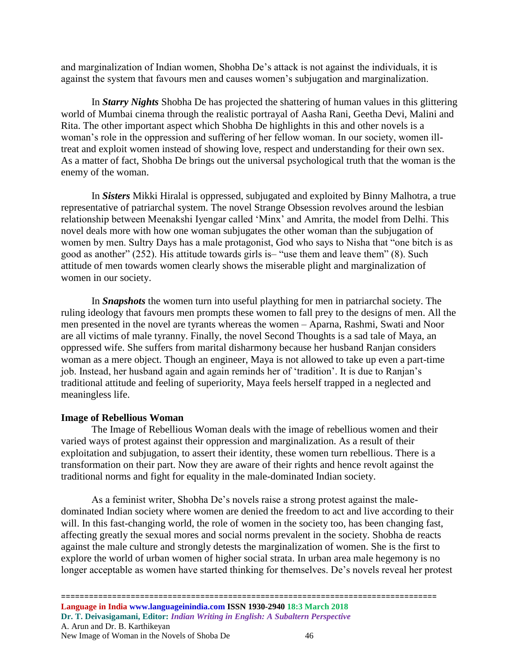and marginalization of Indian women, Shobha De's attack is not against the individuals, it is against the system that favours men and causes women's subjugation and marginalization.

In *Starry Nights* Shobha De has projected the shattering of human values in this glittering world of Mumbai cinema through the realistic portrayal of Aasha Rani, Geetha Devi, Malini and Rita. The other important aspect which Shobha De highlights in this and other novels is a woman's role in the oppression and suffering of her fellow woman. In our society, women illtreat and exploit women instead of showing love, respect and understanding for their own sex. As a matter of fact, Shobha De brings out the universal psychological truth that the woman is the enemy of the woman.

In *Sisters* Mikki Hiralal is oppressed, subjugated and exploited by Binny Malhotra, a true representative of patriarchal system. The novel Strange Obsession revolves around the lesbian relationship between Meenakshi Iyengar called 'Minx' and Amrita, the model from Delhi. This novel deals more with how one woman subjugates the other woman than the subjugation of women by men. Sultry Days has a male protagonist, God who says to Nisha that "one bitch is as good as another" (252). His attitude towards girls is– "use them and leave them" (8). Such attitude of men towards women clearly shows the miserable plight and marginalization of women in our society.

In *Snapshots* the women turn into useful plaything for men in patriarchal society. The ruling ideology that favours men prompts these women to fall prey to the designs of men. All the men presented in the novel are tyrants whereas the women – Aparna, Rashmi, Swati and Noor are all victims of male tyranny. Finally, the novel Second Thoughts is a sad tale of Maya, an oppressed wife. She suffers from marital disharmony because her husband Ranjan considers woman as a mere object. Though an engineer, Maya is not allowed to take up even a part-time job. Instead, her husband again and again reminds her of 'tradition'. It is due to Ranjan's traditional attitude and feeling of superiority, Maya feels herself trapped in a neglected and meaningless life.

# **Image of Rebellious Woman**

The Image of Rebellious Woman deals with the image of rebellious women and their varied ways of protest against their oppression and marginalization. As a result of their exploitation and subjugation, to assert their identity, these women turn rebellious. There is a transformation on their part. Now they are aware of their rights and hence revolt against the traditional norms and fight for equality in the male-dominated Indian society.

As a feminist writer, Shobha De's novels raise a strong protest against the maledominated Indian society where women are denied the freedom to act and live according to their will. In this fast-changing world, the role of women in the society too, has been changing fast, affecting greatly the sexual mores and social norms prevalent in the society. Shobha de reacts against the male culture and strongly detests the marginalization of women. She is the first to explore the world of urban women of higher social strata. In urban area male hegemony is no longer acceptable as women have started thinking for themselves. De's novels reveal her protest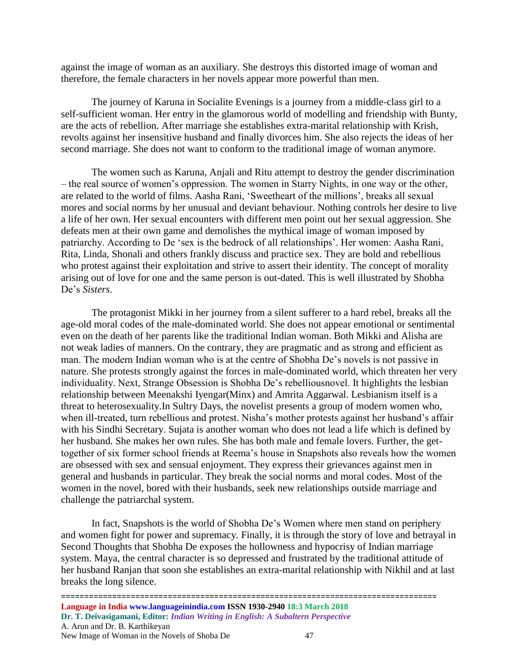against the image of woman as an auxiliary. She destroys this distorted image of woman and therefore, the female characters in her novels appear more powerful than men.

The journey of Karuna in Socialite Evenings is a journey from a middle-class girl to a self-sufficient woman. Her entry in the glamorous world of modelling and friendship with Bunty, are the acts of rebellion. After marriage she establishes extra-marital relationship with Krish, revolts against her insensitive husband and finally divorces him. She also rejects the ideas of her second marriage. She does not want to conform to the traditional image of woman anymore.

The women such as Karuna, Anjali and Ritu attempt to destroy the gender discrimination – the real source of women's oppression. The women in Starry Nights, in one way or the other, are related to the world of films. Aasha Rani, 'Sweetheart of the millions', breaks all sexual mores and social norms by her unusual and deviant behaviour. Nothing controls her desire to live a life of her own. Her sexual encounters with different men point out her sexual aggression. She defeats men at their own game and demolishes the mythical image of woman imposed by patriarchy. According to De 'sex is the bedrock of all relationships'. Her women: Aasha Rani, Rita, Linda, Shonali and others frankly discuss and practice sex. They are bold and rebellious who protest against their exploitation and strive to assert their identity. The concept of morality arising out of love for one and the same person is out-dated. This is well illustrated by Shobha De's *Sisters*.

The protagonist Mikki in her journey from a silent sufferer to a hard rebel, breaks all the age-old moral codes of the male-dominated world. She does not appear emotional or sentimental even on the death of her parents like the traditional Indian woman. Both Mikki and Alisha are not weak ladies of manners. On the contrary, they are pragmatic and as strong and efficient as man. The modern Indian woman who is at the centre of Shobha De's novels is not passive in nature. She protests strongly against the forces in male-dominated world, which threaten her very individuality. Next, Strange Obsession is Shobha De's rebelliousnovel. It highlights the lesbian relationship between Meenakshi Iyengar(Minx) and Amrita Aggarwal. Lesbianism itself is a threat to heterosexuality.In Sultry Days, the novelist presents a group of modern women who, when ill-treated, turn rebellious and protest. Nisha's mother protests against her husband's affair with his Sindhi Secretary. Sujata is another woman who does not lead a life which is defined by her husband. She makes her own rules. She has both male and female lovers. Further, the gettogether of six former school friends at Reema's house in Snapshots also reveals how the women are obsessed with sex and sensual enjoyment. They express their grievances against men in general and husbands in particular. They break the social norms and moral codes. Most of the women in the novel, bored with their husbands, seek new relationships outside marriage and challenge the patriarchal system.

In fact, Snapshots is the world of Shobha De's Women where men stand on periphery and women fight for power and supremacy. Finally, it is through the story of love and betrayal in Second Thoughts that Shobha De exposes the hollowness and hypocrisy of Indian marriage system. Maya, the central character is so depressed and frustrated by the traditional attitude of her husband Ranjan that soon she establishes an extra-marital relationship with Nikhil and at last breaks the long silence.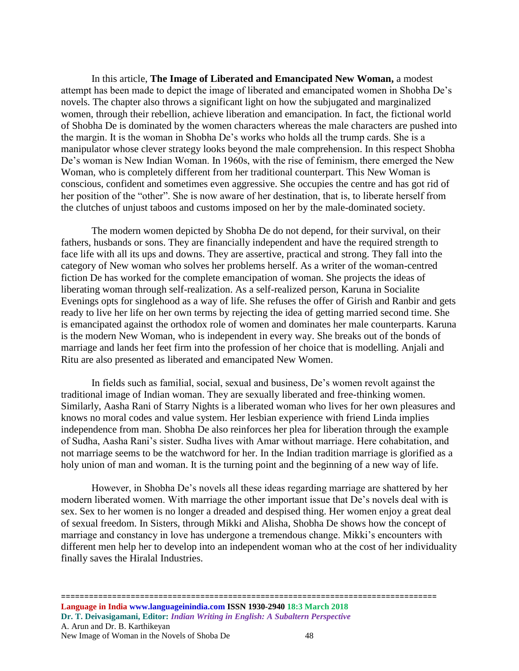In this article, **The Image of Liberated and Emancipated New Woman,** a modest attempt has been made to depict the image of liberated and emancipated women in Shobha De's novels. The chapter also throws a significant light on how the subjugated and marginalized women, through their rebellion, achieve liberation and emancipation. In fact, the fictional world of Shobha De is dominated by the women characters whereas the male characters are pushed into the margin. It is the woman in Shobha De's works who holds all the trump cards. She is a manipulator whose clever strategy looks beyond the male comprehension. In this respect Shobha De's woman is New Indian Woman. In 1960s, with the rise of feminism, there emerged the New Woman, who is completely different from her traditional counterpart. This New Woman is conscious, confident and sometimes even aggressive. She occupies the centre and has got rid of her position of the "other". She is now aware of her destination, that is, to liberate herself from the clutches of unjust taboos and customs imposed on her by the male-dominated society.

The modern women depicted by Shobha De do not depend, for their survival, on their fathers, husbands or sons. They are financially independent and have the required strength to face life with all its ups and downs. They are assertive, practical and strong. They fall into the category of New woman who solves her problems herself. As a writer of the woman-centred fiction De has worked for the complete emancipation of woman. She projects the ideas of liberating woman through self-realization. As a self-realized person, Karuna in Socialite Evenings opts for singlehood as a way of life. She refuses the offer of Girish and Ranbir and gets ready to live her life on her own terms by rejecting the idea of getting married second time. She is emancipated against the orthodox role of women and dominates her male counterparts. Karuna is the modern New Woman, who is independent in every way. She breaks out of the bonds of marriage and lands her feet firm into the profession of her choice that is modelling. Anjali and Ritu are also presented as liberated and emancipated New Women.

In fields such as familial, social, sexual and business, De's women revolt against the traditional image of Indian woman. They are sexually liberated and free-thinking women. Similarly, Aasha Rani of Starry Nights is a liberated woman who lives for her own pleasures and knows no moral codes and value system. Her lesbian experience with friend Linda implies independence from man. Shobha De also reinforces her plea for liberation through the example of Sudha, Aasha Rani's sister. Sudha lives with Amar without marriage. Here cohabitation, and not marriage seems to be the watchword for her. In the Indian tradition marriage is glorified as a holy union of man and woman. It is the turning point and the beginning of a new way of life.

However, in Shobha De's novels all these ideas regarding marriage are shattered by her modern liberated women. With marriage the other important issue that De's novels deal with is sex. Sex to her women is no longer a dreaded and despised thing. Her women enjoy a great deal of sexual freedom. In Sisters, through Mikki and Alisha, Shobha De shows how the concept of marriage and constancy in love has undergone a tremendous change. Mikki's encounters with different men help her to develop into an independent woman who at the cost of her individuality finally saves the Hiralal Industries.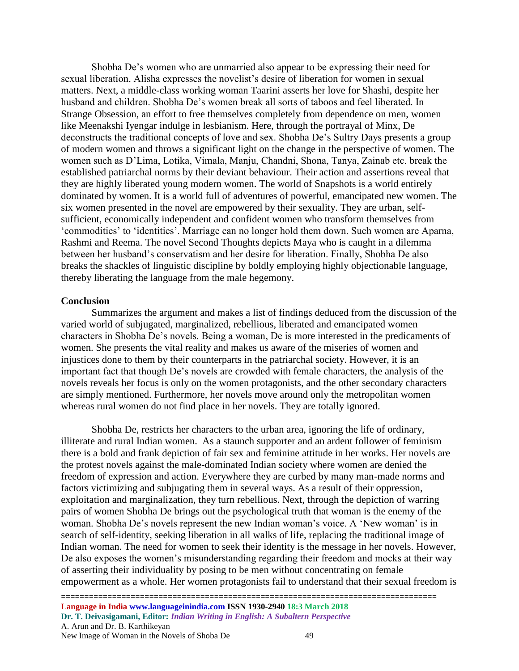Shobha De's women who are unmarried also appear to be expressing their need for sexual liberation. Alisha expresses the novelist's desire of liberation for women in sexual matters. Next, a middle-class working woman Taarini asserts her love for Shashi, despite her husband and children. Shobha De's women break all sorts of taboos and feel liberated. In Strange Obsession, an effort to free themselves completely from dependence on men, women like Meenakshi Iyengar indulge in lesbianism. Here, through the portrayal of Minx, De deconstructs the traditional concepts of love and sex. Shobha De's Sultry Days presents a group of modern women and throws a significant light on the change in the perspective of women. The women such as D'Lima, Lotika, Vimala, Manju, Chandni, Shona, Tanya, Zainab etc. break the established patriarchal norms by their deviant behaviour. Their action and assertions reveal that they are highly liberated young modern women. The world of Snapshots is a world entirely dominated by women. It is a world full of adventures of powerful, emancipated new women. The six women presented in the novel are empowered by their sexuality. They are urban, selfsufficient, economically independent and confident women who transform themselves from 'commodities' to 'identities'. Marriage can no longer hold them down. Such women are Aparna, Rashmi and Reema. The novel Second Thoughts depicts Maya who is caught in a dilemma between her husband's conservatism and her desire for liberation. Finally, Shobha De also breaks the shackles of linguistic discipline by boldly employing highly objectionable language, thereby liberating the language from the male hegemony.

#### **Conclusion**

Summarizes the argument and makes a list of findings deduced from the discussion of the varied world of subjugated, marginalized, rebellious, liberated and emancipated women characters in Shobha De's novels. Being a woman, De is more interested in the predicaments of women. She presents the vital reality and makes us aware of the miseries of women and injustices done to them by their counterparts in the patriarchal society. However, it is an important fact that though De's novels are crowded with female characters, the analysis of the novels reveals her focus is only on the women protagonists, and the other secondary characters are simply mentioned. Furthermore, her novels move around only the metropolitan women whereas rural women do not find place in her novels. They are totally ignored.

Shobha De, restricts her characters to the urban area, ignoring the life of ordinary, illiterate and rural Indian women. As a staunch supporter and an ardent follower of feminism there is a bold and frank depiction of fair sex and feminine attitude in her works. Her novels are the protest novels against the male-dominated Indian society where women are denied the freedom of expression and action. Everywhere they are curbed by many man-made norms and factors victimizing and subjugating them in several ways. As a result of their oppression, exploitation and marginalization, they turn rebellious. Next, through the depiction of warring pairs of women Shobha De brings out the psychological truth that woman is the enemy of the woman. Shobha De's novels represent the new Indian woman's voice. A 'New woman' is in search of self-identity, seeking liberation in all walks of life, replacing the traditional image of Indian woman. The need for women to seek their identity is the message in her novels. However, De also exposes the women's misunderstanding regarding their freedom and mocks at their way of asserting their individuality by posing to be men without concentrating on female empowerment as a whole. Her women protagonists fail to understand that their sexual freedom is